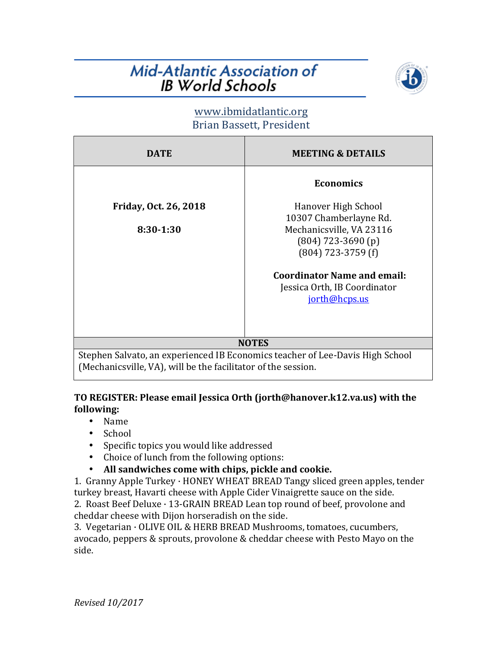## **Mid-Atlantic Association of IB** World Schools



### www.ibmidatlantic.org Brian Bassett, President

| <b>DATE</b>                                                                   | <b>MEETING &amp; DETAILS</b>       |
|-------------------------------------------------------------------------------|------------------------------------|
|                                                                               | <b>Economics</b>                   |
| Friday, Oct. 26, 2018                                                         | Hanover High School                |
|                                                                               | 10307 Chamberlayne Rd.             |
| 8:30-1:30                                                                     | Mechanicsville, VA 23116           |
|                                                                               | $(804)$ 723-3690 (p)               |
|                                                                               | $(804)$ 723-3759 (f)               |
|                                                                               | <b>Coordinator Name and email:</b> |
|                                                                               | Jessica Orth, IB Coordinator       |
|                                                                               | jorth@hcps.us                      |
|                                                                               |                                    |
|                                                                               |                                    |
| <b>NOTES</b>                                                                  |                                    |
| Stephen Salvato, an experienced IB Economics teacher of Lee-Davis High School |                                    |
| (Mechanicsville, VA), will be the facilitator of the session.                 |                                    |

#### **TO REGISTER: Please email Jessica Orth (jorth@hanover.k12.va.us) with the following:**

- Name
- School
- Specific topics you would like addressed
- Choice of lunch from the following options:
- All sandwiches come with chips, pickle and cookie.

1. Granny Apple Turkey  $\cdot$  HONEY WHEAT BREAD Tangy sliced green apples, tender turkey breast, Havarti cheese with Apple Cider Vinaigrette sauce on the side.

2. Roast Beef Deluxe  $\cdot$  13-GRAIN BREAD Lean top round of beef, provolone and cheddar cheese with Dijon horseradish on the side.

3. Vegetarian · OLIVE OIL & HERB BREAD Mushrooms, tomatoes, cucumbers, avocado, peppers & sprouts, provolone & cheddar cheese with Pesto Mayo on the side.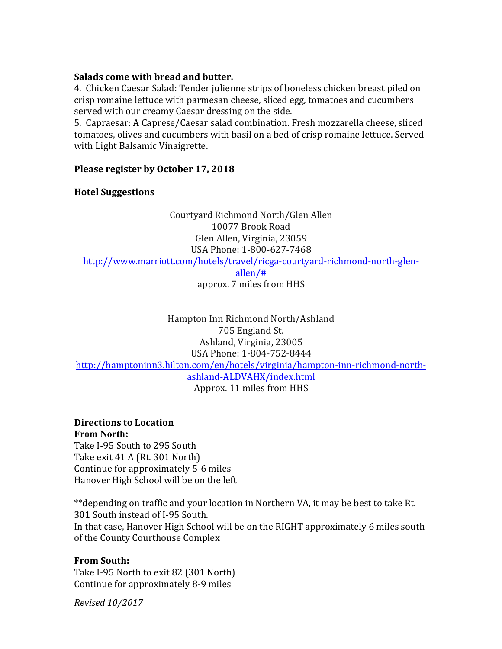#### **Salads come with bread and butter.**

4. Chicken Caesar Salad: Tender julienne strips of boneless chicken breast piled on crisp romaine lettuce with parmesan cheese, sliced egg, tomatoes and cucumbers served with our creamy Caesar dressing on the side.

5. Capraesar: A Caprese/Caesar salad combination. Fresh mozzarella cheese, sliced tomatoes, olives and cucumbers with basil on a bed of crisp romaine lettuce. Served with Light Balsamic Vinaigrette.

#### **Please register by October 17, 2018**

#### **Hotel Suggestions**

Courtyard Richmond North/Glen Allen 10077 Brook Road Glen Allen, Virginia, 23059 USA Phone: 1-800-627-7468 http://www.marriott.com/hotels/travel/ricga-courtyard-richmond-north-glenallen/# approx. 7 miles from HHS

Hampton Inn Richmond North/Ashland 705 England St. Ashland, Virginia, 23005 USA Phone: 1-804-752-8444 http://hamptoninn3.hilton.com/en/hotels/virginia/hampton-inn-richmond-northashland-ALDVAHX/index.html Approx. 11 miles from HHS

## **Directions to Location**

**From North:** Take I-95 South to 295 South Take exit 41 A (Rt. 301 North) Continue for approximately 5-6 miles Hanover High School will be on the left

\*\*depending on traffic and your location in Northern VA, it may be best to take Rt. 301 South instead of I-95 South. In that case, Hanover High School will be on the RIGHT approximately 6 miles south of the County Courthouse Complex

#### **From South:**

Take I-95 North to exit 82 (301 North) Continue for approximately 8-9 miles

*Revised 10/2017*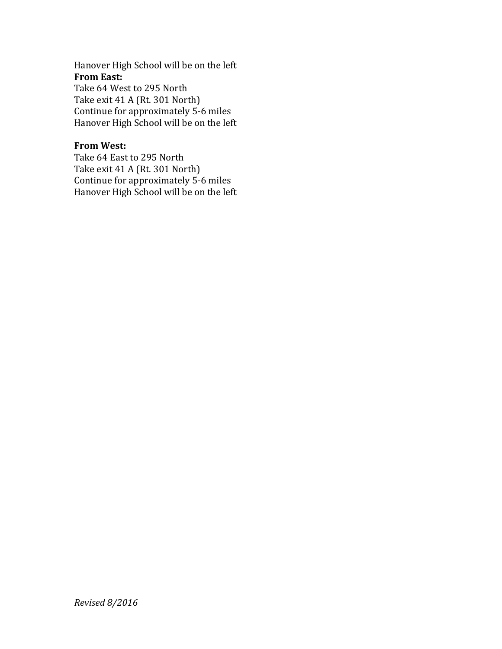Hanover High School will be on the left **From East:** Take 64 West to 295 North

Take exit 41 A (Rt. 301 North) Continue for approximately 5-6 miles Hanover High School will be on the left

#### **From West:**

Take 64 East to 295 North Take exit 41 A (Rt. 301 North) Continue for approximately 5-6 miles Hanover High School will be on the left